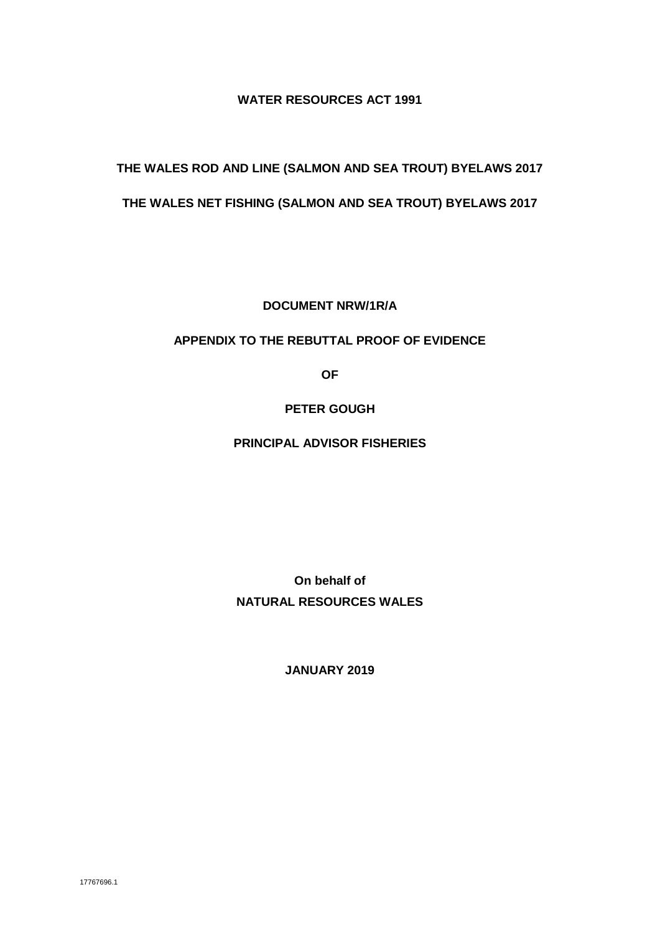#### **WATER RESOURCES ACT 1991**

## **THE WALES ROD AND LINE (SALMON AND SEA TROUT) BYELAWS 2017**

### **THE WALES NET FISHING (SALMON AND SEA TROUT) BYELAWS 2017**

**DOCUMENT NRW/1R/A**

#### **APPENDIX TO THE REBUTTAL PROOF OF EVIDENCE**

**OF** 

### **PETER GOUGH**

#### **PRINCIPAL ADVISOR FISHERIES**

**On behalf of NATURAL RESOURCES WALES**

**JANUARY 2019**